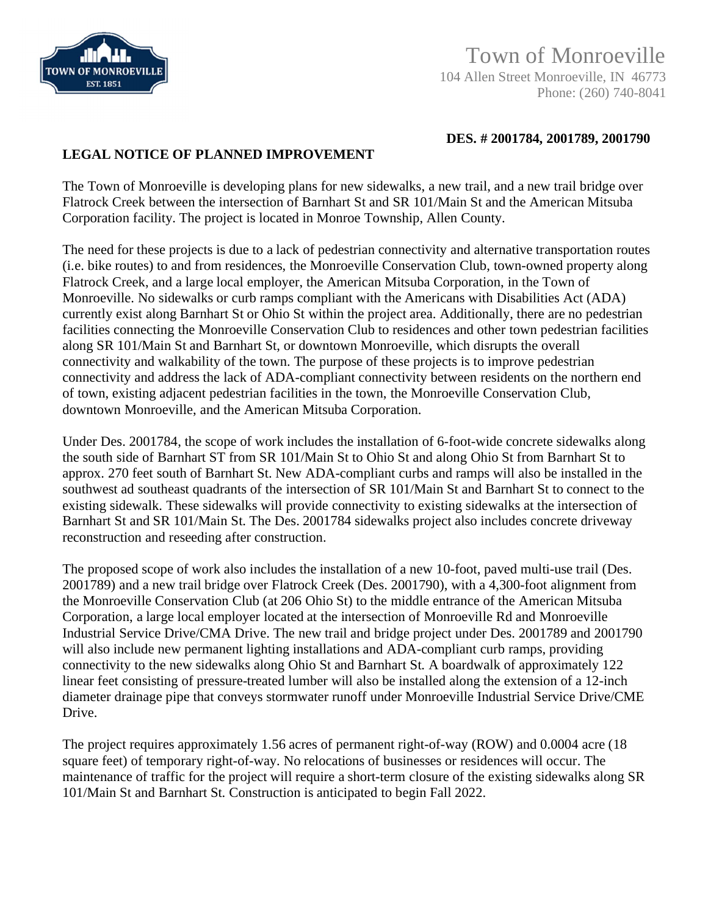

**DES. # 2001784, 2001789, 2001790**

## **LEGAL NOTICE OF PLANNED IMPROVEMENT**

The Town of Monroeville is developing plans for new sidewalks, a new trail, and a new trail bridge over Flatrock Creek between the intersection of Barnhart St and SR 101/Main St and the American Mitsuba Corporation facility. The project is located in Monroe Township, Allen County.

The need for these projects is due to a lack of pedestrian connectivity and alternative transportation routes (i.e. bike routes) to and from residences, the Monroeville Conservation Club, town-owned property along Flatrock Creek, and a large local employer, the American Mitsuba Corporation, in the Town of Monroeville. No sidewalks or curb ramps compliant with the Americans with Disabilities Act (ADA) currently exist along Barnhart St or Ohio St within the project area. Additionally, there are no pedestrian facilities connecting the Monroeville Conservation Club to residences and other town pedestrian facilities along SR 101/Main St and Barnhart St, or downtown Monroeville, which disrupts the overall connectivity and walkability of the town. The purpose of these projects is to improve pedestrian connectivity and address the lack of ADA-compliant connectivity between residents on the northern end of town, existing adjacent pedestrian facilities in the town, the Monroeville Conservation Club, downtown Monroeville, and the American Mitsuba Corporation.

Under Des. 2001784, the scope of work includes the installation of 6-foot-wide concrete sidewalks along the south side of Barnhart ST from SR 101/Main St to Ohio St and along Ohio St from Barnhart St to approx. 270 feet south of Barnhart St. New ADA-compliant curbs and ramps will also be installed in the southwest ad southeast quadrants of the intersection of SR 101/Main St and Barnhart St to connect to the existing sidewalk. These sidewalks will provide connectivity to existing sidewalks at the intersection of Barnhart St and SR 101/Main St. The Des. 2001784 sidewalks project also includes concrete driveway reconstruction and reseeding after construction.

The proposed scope of work also includes the installation of a new 10-foot, paved multi-use trail (Des. 2001789) and a new trail bridge over Flatrock Creek (Des. 2001790), with a 4,300-foot alignment from the Monroeville Conservation Club (at 206 Ohio St) to the middle entrance of the American Mitsuba Corporation, a large local employer located at the intersection of Monroeville Rd and Monroeville Industrial Service Drive/CMA Drive. The new trail and bridge project under Des. 2001789 and 2001790 will also include new permanent lighting installations and ADA-compliant curb ramps, providing connectivity to the new sidewalks along Ohio St and Barnhart St. A boardwalk of approximately 122 linear feet consisting of pressure-treated lumber will also be installed along the extension of a 12-inch diameter drainage pipe that conveys stormwater runoff under Monroeville Industrial Service Drive/CME Drive.

The project requires approximately 1.56 acres of permanent right-of-way (ROW) and 0.0004 acre (18 square feet) of temporary right-of-way. No relocations of businesses or residences will occur. The maintenance of traffic for the project will require a short-term closure of the existing sidewalks along SR 101/Main St and Barnhart St. Construction is anticipated to begin Fall 2022.